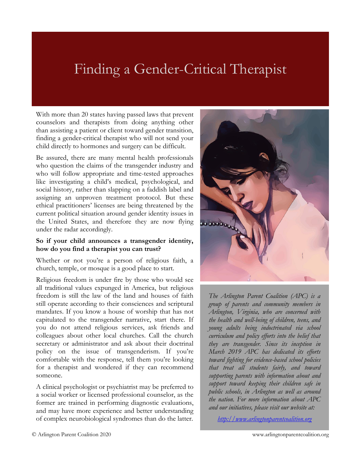# Finding a Gender-Critical Therapist

With more than 20 states having passed laws that prevent counselors and therapists from doing anything other than assisting a patient or client toward gender transition, finding a gender-critical therapist who will not send your child directly to hormones and surgery can be difficult.

Be assured, there are many mental health professionals who question the claims of the transgender industry and who will follow appropriate and time-tested approaches like investigating a child's medical, psychological, and social history, rather than slapping on a faddish label and assigning an unproven treatment protocol. But these ethical practitioners' licenses are being threatened by the current political situation around gender identity issues in the United States, and therefore they are now flying under the radar accordingly.

#### **So if your child announces a transgender identity, how do you find a therapist you can trust?**

Whether or not you're a person of religious faith, a church, temple, or mosque is a good place to start.

Religious freedom is under fire by those who would see all traditional values expunged in America, but religious freedom is still the law of the land and houses of faith still operate according to their consciences and scriptural mandates. If you know a house of worship that has not capitulated to the transgender narrative, start there. If you do not attend religious services, ask friends and colleagues about other local churches. Call the church secretary or administrator and ask about their doctrinal policy on the issue of transgenderism. If you're comfortable with the response, tell them you're looking for a therapist and wondered if they can recommend someone.

A clinical psychologist or psychiatrist may be preferred to a social worker or licensed professional counselor, as the former are trained in performing diagnostic evaluations, and may have more experience and better understanding of complex neurobiological syndromes than do the latter.



*The Arlington Parent Coalition (APC) is a group of parents and community members in Arlington, Virginia, who are concerned with the health and well-being of children, teens, and young adults being indoctrinated via school curriculum and policy efforts into the belief that they are transgender. Since its inception in March 2019 APC has dedicated its efforts toward fighting for evidence-based school policies that treat all students fairly, and toward supporting parents with information about and support toward keeping their children safe in public schools, in Arlington as well as around the nation. For more information about APC and our initiatives, please visit our website at:*

*[http://www.arlingtonparentcoalition.org](http://www.arlingtonparentcoalition.org/)*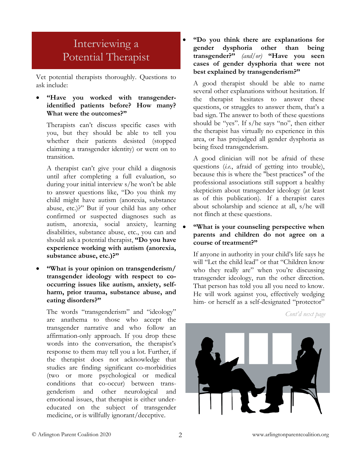## Interviewing a Potential Therapist

Vet potential therapists thoroughly. Questions to ask include:

### • **"Have you worked with transgenderidentified patients before? How many? What were the outcomes?"**

Therapists can't discuss specific cases with you, but they should be able to tell you whether their patients desisted (stopped claiming a transgender identity) or went on to transition.

A therapist can't give your child a diagnosis until after completing a full evaluation, so during your initial interview s/he won't be able to answer questions like, "Do you think my child might have autism (anorexia, substance abuse, etc.)?" But if your child has any other confirmed or suspected diagnoses such as autism, anorexia, social anxiety, learning disabilities, substance abuse, etc., you can and should ask a potential therapist, **"Do you have experience working with autism (anorexia, substance abuse, etc.)?"**

• **"What is your opinion on transgenderism/ transgender ideology with respect to cooccurring issues like autism, anxiety, selfharm, prior trauma, substance abuse, and eating disorders?"**

The words "transgenderism" and "ideology" are anathema to those who accept the transgender narrative and who follow an affirmation-only approach. If you drop these words into the conversation, the therapist's response to them may tell you a lot. Further, if the therapist does not acknowledge that studies are finding significant co-morbidities (two or more psychological or medical conditions that co-occur) between transgenderism and other neurological and emotional issues, that therapist is either undereducated on the subject of transgender medicine, or is willfully ignorant/deceptive.

• **"Do you think there are explanations for gender dysphoria other than being transgender?"** *(and/or)* **"Have you seen cases of gender dysphoria that were not best explained by transgenderism?"**

A good therapist should be able to name several other explanations without hesitation. If the therapist hesitates to answer these questions, or struggles to answer them, that's a bad sign. The answer to both of these questions should be "yes". If s/he says "no", then either the therapist has virtually no experience in this area, or has prejudged all gender dysphoria as being fixed transgenderism.

A good clinician will not be afraid of these questions (*i.e.*, afraid of getting into trouble), because this is where the "best practices" of the professional associations still support a healthy skepticism about transgender ideology (at least as of this publication). If a therapist cares about scholarship and science at all, s/he will not flinch at these questions.

### • **"What is your counseling perspective when parents and children do not agree on a course of treatment?"**

If anyone in authority in your child's life says he will "Let the child lead" or that "Children know who they really are" when you're discussing transgender ideology, run the other direction. That person has told you all you need to know. He will work against you, effectively wedging him- or herself as a self-designated "protector"

*Cont'd next page*